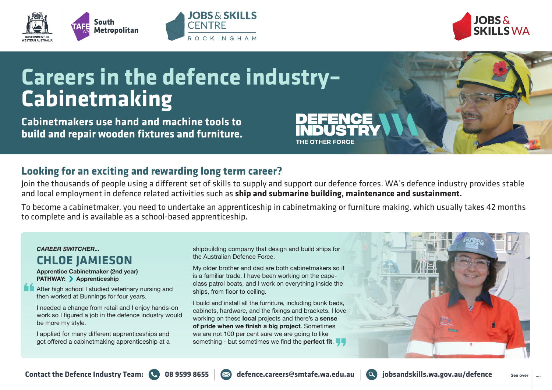





# **Careers in the defence industry– Cabinetmaking**

**Cabinetmakers use hand and machine tools to build and repair wooden fixtures and furniture.**

### **Looking for an exciting and rewarding long term career?**

Join the thousands of people using a different set of skills to supply and support our defence forces. WA's defence industry provides stable and local employment in defence related activities such as **ship and submarine building, maintenance and sustainment.**

THE OTHER FORCE

To become a cabinetmaker, you need to undertake an apprenticeship in cabinetmaking or furniture making, which usually takes 42 months to complete and is available as a school-based apprenticeship.

#### *CAREER SWITCHER...* **CHLOE JAMIESON**

**Apprentice Cabinetmaker (2nd year) PATHWAY:** Apprenticeship

After high school I studied veterinary nursing and then worked at Bunnings for four years.

I needed a change from retail and I enjoy hands-on work so I figured a job in the defence industry would be more my style.

I applied for many different apprenticeships and got offered a cabinetmaking apprenticeship at a shipbuilding company that design and build ships for the Australian Defence Force.

My older brother and dad are both cabinetmakers so it is a familiar trade. I have been working on the capeclass patrol boats, and I work on everything inside the ships, from floor to ceiling.

I build and install all the furniture, including bunk beds, cabinets, hardware, and the fixings and brackets. I love working on these **local** projects and there's a **sense of pride when we finish a big project**. Sometimes we are not 100 per cent sure we are going to like something - but sometimes we find the **perfect fit**.